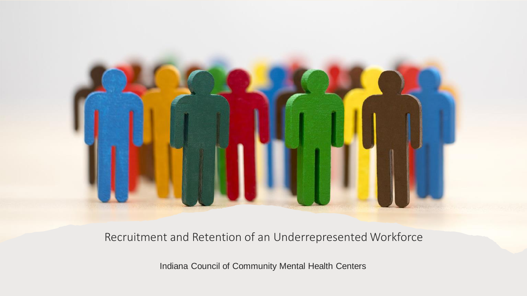

#### Recruitment and Retention of an Underrepresented Workforce

Indiana Council of Community Mental Health Centers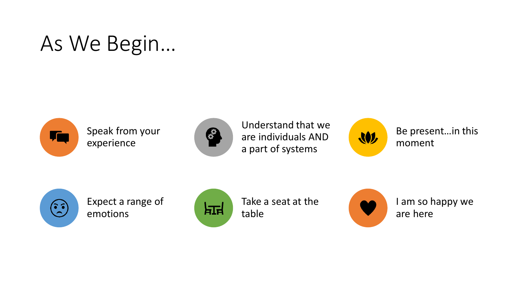#### As We Begin…



Speak from your experience



Understand that we are individuals AND a part of systems



Be present…in this moment



Expect a range of emotions



Take a seat at the table



I am so happy we are here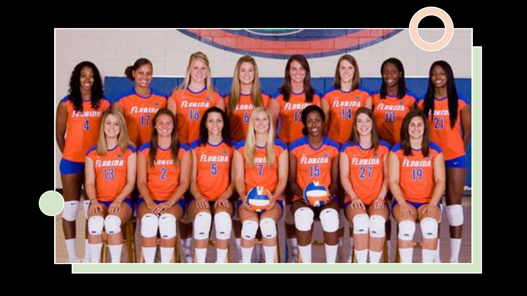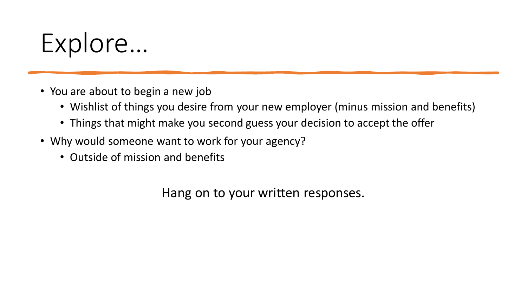### Explore…

- You are about to begin a new job
	- Wishlist of things you desire from your new employer (minus mission and benefits)
	- Things that might make you second guess your decision to accept the offer
- Why would someone want to work for your agency?
	- Outside of mission and benefits

Hang on to your written responses.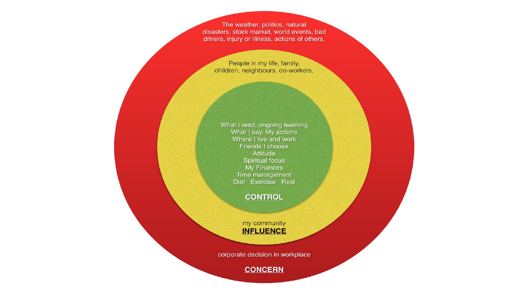The weather, politics, natural disasters, stock market, world events, bad drivers, injury or illness, actions of others,

> People in my life, family, children, neighbours, co-workers,

What I read, ongoing learning What I say. My actions Where I live and work Friends I choose Attitude **Spiritual focus My Finances** Time management Diet Exercise Rest

**CONTROL** 

my community **INFLUENCE** 

corporate decision in workplace

**CONCERN**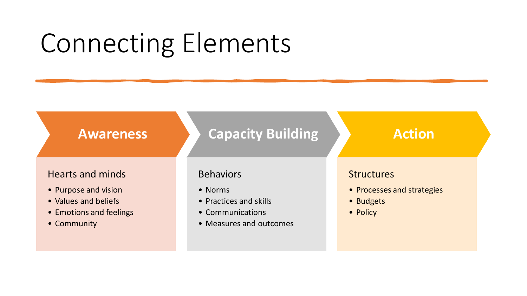## Connecting Elements



#### **Capacity Building**

#### **Action**

#### Hearts and minds

- Purpose and vision
- Values and beliefs
- Emotions and feelings
- Community

#### **Behaviors**

- Norms
- Practices and skills
- Communications
- Measures and outcomes

#### **Structures**

- Processes and strategies
- Budgets
- Policy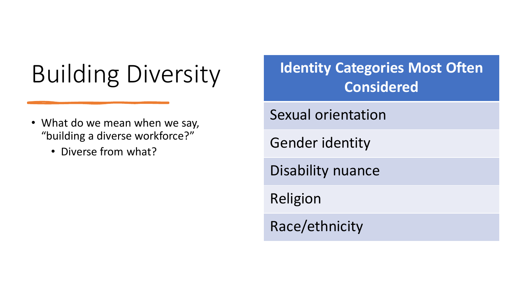## Building Diversity

- What do we mean when we say, "building a diverse workforce?"
	- Diverse from what?

**Identity Categories Most Often Considered**

Sexual orientation

Gender identity

Disability nuance

Religion

Race/ethnicity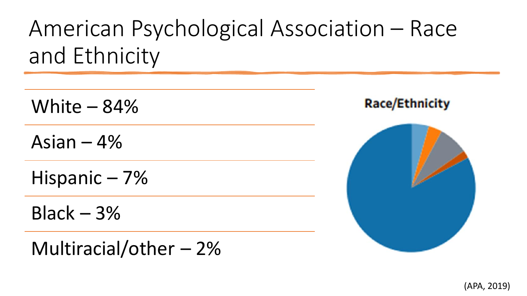#### American Psychological Association – Race and Ethnicity

White  $-84%$ 

Asian  $-4%$ 

Hispanic – 7%

 $Black - 3%$ 

Multiracial/other – 2%

**Race/Ethnicity** 

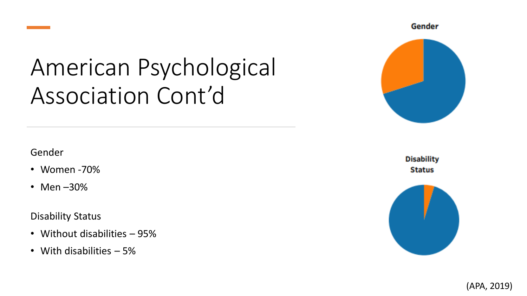![](_page_8_Picture_0.jpeg)

#### Gender

- Women -70%
- Men –30%

Disability Status

- Without disabilities 95%
- With disabilities 5%

**Disability Status** 

![](_page_8_Figure_8.jpeg)

![](_page_8_Picture_10.jpeg)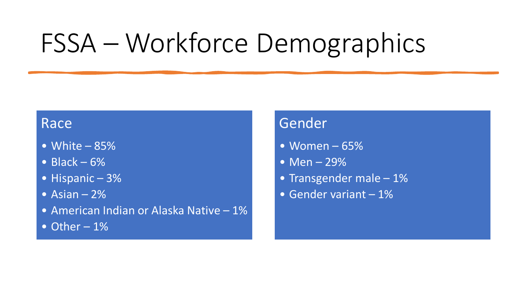## FSSA – Workforce Demographics

#### Race

- White  $-85%$
- Black  $6\%$
- Hispanic 3%
- Asian  $-2%$
- American Indian or Alaska Native 1%
- $\bullet$  Other  $1\%$

#### Gender

- $\bullet$  Women 65%
- Men 29%
- Transgender male 1%
- Gender variant 1%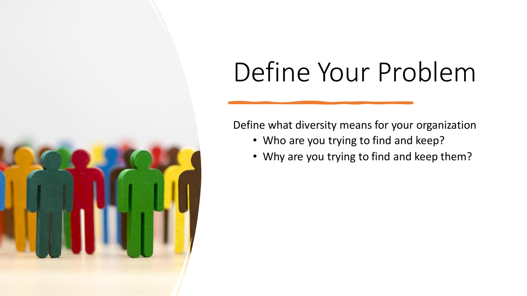## Define Your Problem

Define what diversity means for your organization

- Who are you trying to find and keep?
- Why are you trying to find and keep them?

![](_page_10_Picture_4.jpeg)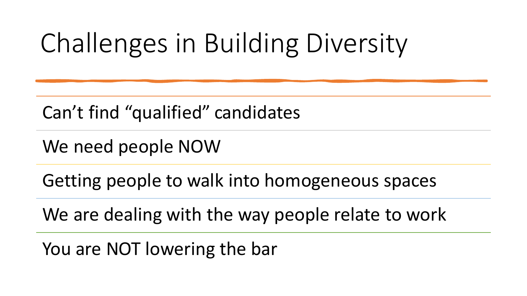# Challenges in Building Diversity

#### Can't find "qualified" candidates

We need people NOW

Getting people to walk into homogeneous spaces

We are dealing with the way people relate to work

You are NOT lowering the bar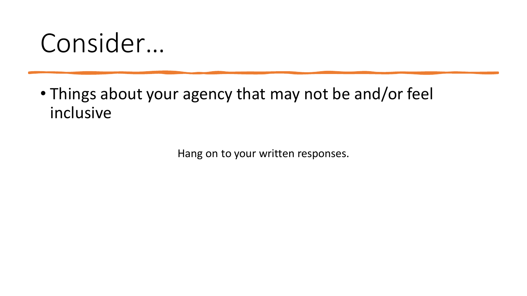![](_page_12_Picture_0.jpeg)

• Things about your agency that may not be and/or feel inclusive

Hang on to your written responses.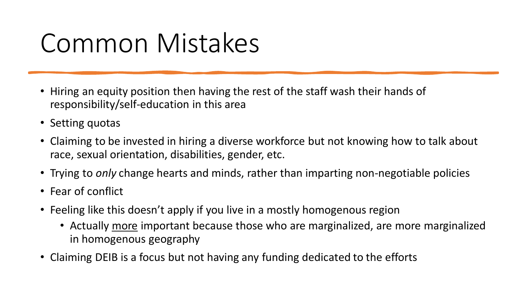### Common Mistakes

- Hiring an equity position then having the rest of the staff wash their hands of responsibility/self-education in this area
- Setting quotas
- Claiming to be invested in hiring a diverse workforce but not knowing how to talk about race, sexual orientation, disabilities, gender, etc.
- Trying to *only* change hearts and minds, rather than imparting non-negotiable policies
- Fear of conflict
- Feeling like this doesn't apply if you live in a mostly homogenous region
	- Actually more important because those who are marginalized, are more marginalized in homogenous geography
- Claiming DEIB is a focus but not having any funding dedicated to the efforts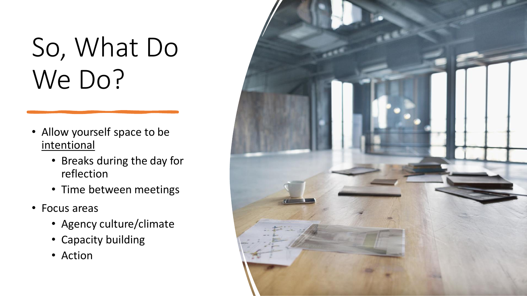# So, What Do We Do?

- Allow yourself space to be intentional
	- Breaks during the day for reflection
	- Time between meetings
- Focus areas
	- Agency culture/climate
	- Capacity building
	- Action

![](_page_14_Picture_8.jpeg)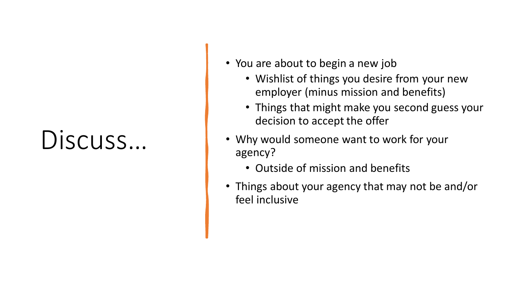#### Discuss…

- You are about to begin a new job
	- Wishlist of things you desire from your new employer (minus mission and benefits)
	- Things that might make you second guess your decision to accept the offer
- Why would someone want to work for your agency?
	- Outside of mission and benefits
- Things about your agency that may not be and/or feel inclusive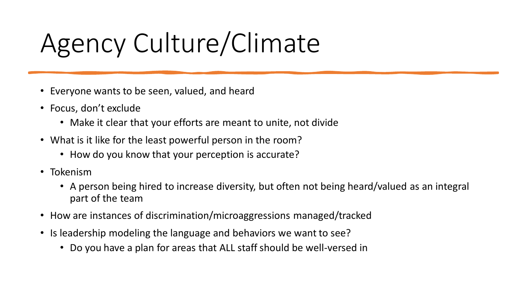# Agency Culture/Climate

- Everyone wants to be seen, valued, and heard
- Focus, don't exclude
	- Make it clear that your efforts are meant to unite, not divide
- What is it like for the least powerful person in the room?
	- How do you know that your perception is accurate?
- Tokenism
	- A person being hired to increase diversity, but often not being heard/valued as an integral part of the team
- How are instances of discrimination/microaggressions managed/tracked
- Is leadership modeling the language and behaviors we want to see?
	- Do you have a plan for areas that ALL staff should be well-versed in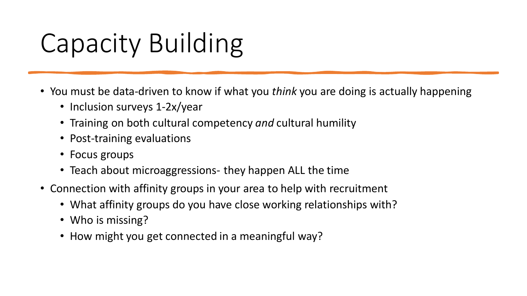# Capacity Building

- You must be data-driven to know if what you *think* you are doing is actually happening
	- Inclusion surveys 1-2x/year
	- Training on both cultural competency *and* cultural humility
	- Post-training evaluations
	- Focus groups
	- Teach about microaggressions- they happen ALL the time
- Connection with affinity groups in your area to help with recruitment
	- What affinity groups do you have close working relationships with?
	- Who is missing?
	- How might you get connected in a meaningful way?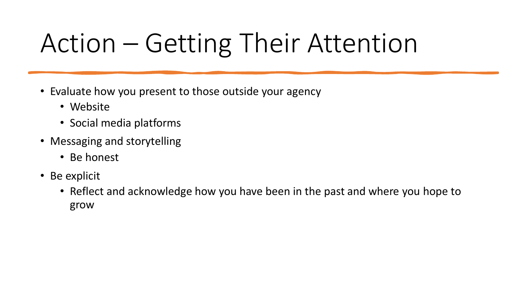# Action – Getting Their Attention

- Evaluate how you present to those outside your agency
	- Website
	- Social media platforms
- Messaging and storytelling
	- Be honest
- Be explicit
	- Reflect and acknowledge how you have been in the past and where you hope to grow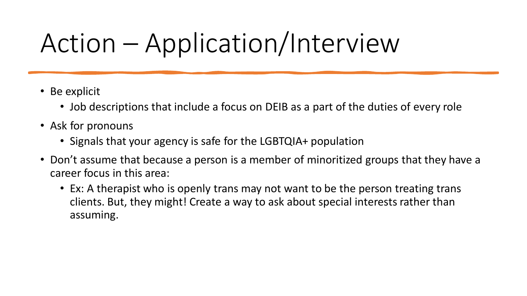## Action – Application/Interview

- Be explicit
	- Job descriptions that include a focus on DEIB as a part of the duties of every role
- Ask for pronouns
	- Signals that your agency is safe for the LGBTQIA+ population
- Don't assume that because a person is a member of minoritized groups that they have a career focus in this area:
	- Ex: A therapist who is openly trans may not want to be the person treating trans clients. But, they might! Create a way to ask about special interests rather than assuming.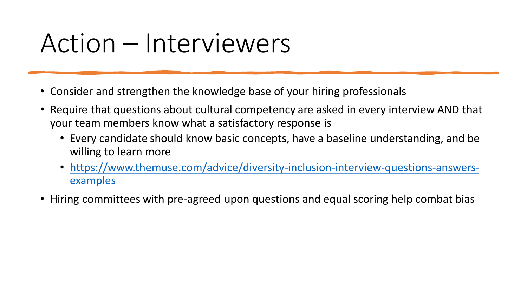#### Action – Interviewers

- Consider and strengthen the knowledge base of your hiring professionals
- Require that questions about cultural competency are asked in every interview AND that your team members know what a satisfactory response is
	- Every candidate should know basic concepts, have a baseline understanding, and be willing to learn more
	- [https://www.themuse.com/advice/diversity-inclusion-interview-questions-answers](https://www.themuse.com/advice/diversity-inclusion-interview-questions-answers-examples)[examples](https://www.themuse.com/advice/diversity-inclusion-interview-questions-answers-examples)
- Hiring committees with pre-agreed upon questions and equal scoring help combat bias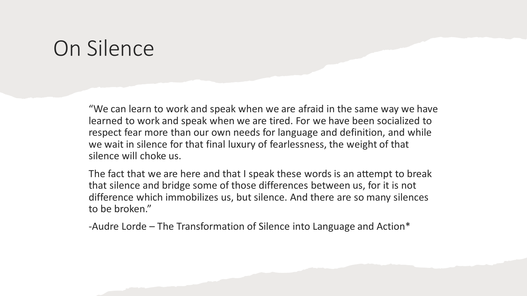#### On Silence

"We can learn to work and speak when we are afraid in the same way we have learned to work and speak when we are tired. For we have been socialized to respect fear more than our own needs for language and definition, and while we wait in silence for that final luxury of fearlessness, the weight of that silence will choke us.

The fact that we are here and that I speak these words is an attempt to break that silence and bridge some of those differences between us, for it is not difference which immobilizes us, but silence. And there are so many silences to be broken."

-Audre Lorde – The Transformation of Silence into Language and Action\*